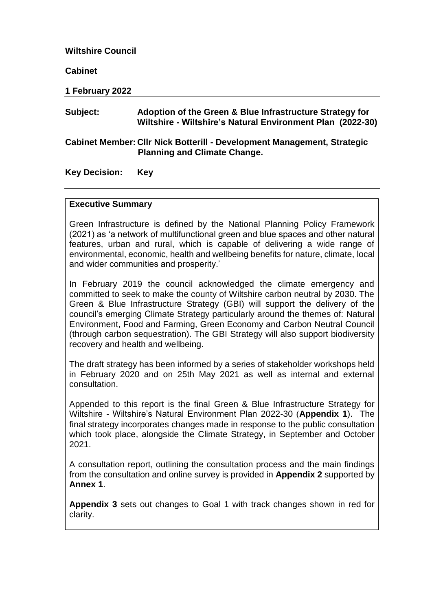#### **Wiltshire Council**

**Cabinet**

**1 February 2022**

### **Subject: Adoption of the Green & Blue Infrastructure Strategy for Wiltshire - Wiltshire's Natural Environment Plan (2022-30)**

#### **Cabinet Member: Cllr Nick Botterill - Development Management, Strategic Planning and Climate Change.**

**Key Decision: Key**

#### **Executive Summary**

Green Infrastructure is defined by the National Planning Policy Framework (2021) as 'a network of multifunctional green and blue spaces and other natural features, urban and rural, which is capable of delivering a wide range of environmental, economic, health and wellbeing benefits for nature, climate, local and wider communities and prosperity.'

In February 2019 the council acknowledged the climate emergency and committed to seek to make the county of Wiltshire carbon neutral by 2030. The Green & Blue Infrastructure Strategy (GBI) will support the delivery of the council's emerging Climate Strategy particularly around the themes of: Natural Environment, Food and Farming, Green Economy and Carbon Neutral Council (through carbon sequestration). The GBI Strategy will also support biodiversity recovery and health and wellbeing.

The draft strategy has been informed by a series of stakeholder workshops held in February 2020 and on 25th May 2021 as well as internal and external consultation.

Appended to this report is the final Green & Blue Infrastructure Strategy for Wiltshire - Wiltshire's Natural Environment Plan 2022-30 (**Appendix 1**). The final strategy incorporates changes made in response to the public consultation which took place, alongside the Climate Strategy, in September and October 2021.

A consultation report, outlining the consultation process and the main findings from the consultation and online survey is provided in **Appendix 2** supported by **Annex 1**.

**Appendix 3** sets out changes to Goal 1 with track changes shown in red for clarity.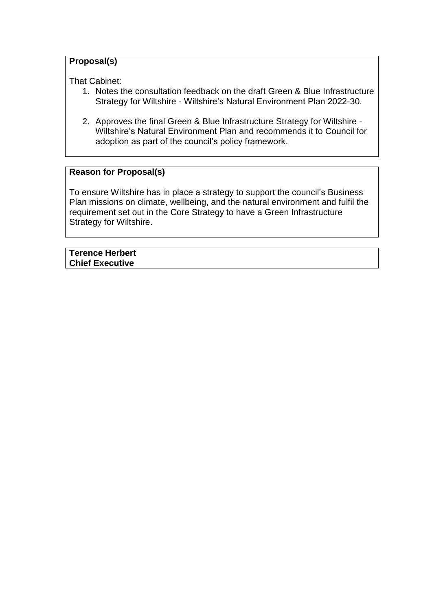# **Proposal(s)**

That Cabinet:

- 1. Notes the consultation feedback on the draft Green & Blue Infrastructure Strategy for Wiltshire - Wiltshire's Natural Environment Plan 2022-30.
- 2. Approves the final Green & Blue Infrastructure Strategy for Wiltshire Wiltshire's Natural Environment Plan and recommends it to Council for adoption as part of the council's policy framework.

## **Reason for Proposal(s)**

To ensure Wiltshire has in place a strategy to support the council's Business Plan missions on climate, wellbeing, and the natural environment and fulfil the requirement set out in the Core Strategy to have a Green Infrastructure Strategy for Wiltshire.

**Terence Herbert Chief Executive**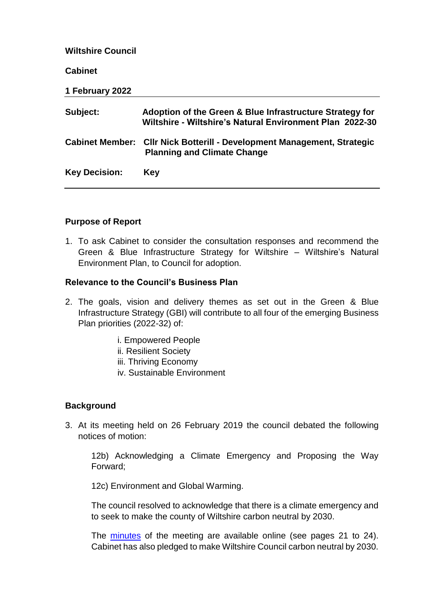| <b>Wiltshire Council</b> |                                                                                                                      |
|--------------------------|----------------------------------------------------------------------------------------------------------------------|
| <b>Cabinet</b>           |                                                                                                                      |
| 1 February 2022          |                                                                                                                      |
| Subject:                 | Adoption of the Green & Blue Infrastructure Strategy for<br>Wiltshire - Wiltshire's Natural Environment Plan 2022-30 |
|                          | Cabinet Member: Cllr Nick Botterill - Development Management, Strategic<br><b>Planning and Climate Change</b>        |
| <b>Key Decision:</b>     | Key                                                                                                                  |

### **Purpose of Report**

1. To ask Cabinet to consider the consultation responses and recommend the Green & Blue Infrastructure Strategy for Wiltshire – Wiltshire's Natural Environment Plan, to Council for adoption.

### **Relevance to the Council's Business Plan**

- 2. The goals, vision and delivery themes as set out in the Green & Blue Infrastructure Strategy (GBI) will contribute to all four of the emerging Business Plan priorities (2022-32) of:
	- i. Empowered People
	- ii. Resilient Society
	- iii. Thriving Economy
	- iv. Sustainable Environment

### **Background**

3. At its meeting held on 26 February 2019 the council debated the following notices of motion:

12b) Acknowledging a Climate Emergency and Proposing the Way Forward;

12c) Environment and Global Warming.

The council resolved to acknowledge that there is a climate emergency and to seek to make the county of Wiltshire carbon neutral by 2030.

The [minutes](https://cms.wiltshire.gov.uk/mgChooseDocPack.aspx?ID=11678) of the meeting are available online (see pages 21 to 24). Cabinet has also pledged to make Wiltshire Council carbon neutral by 2030.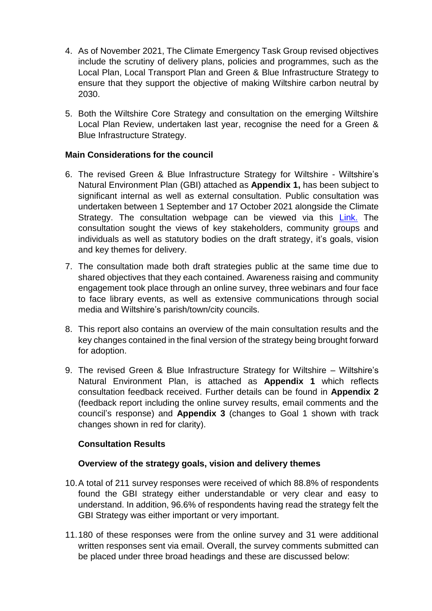- 4. As of November 2021, The Climate Emergency Task Group revised objectives include the scrutiny of delivery plans, policies and programmes, such as the Local Plan, Local Transport Plan and Green & Blue Infrastructure Strategy to ensure that they support the objective of making Wiltshire carbon neutral by 2030.
- 5. Both the Wiltshire Core Strategy and consultation on the emerging Wiltshire Local Plan Review, undertaken last year, recognise the need for a Green & Blue Infrastructure Strategy.

### **Main Considerations for the council**

- 6. The revised Green & Blue Infrastructure Strategy for Wiltshire Wiltshire's Natural Environment Plan (GBI) attached as **Appendix 1,** has been subject to significant internal as well as external consultation. Public consultation was undertaken between 1 September and 17 October 2021 alongside the Climate Strategy. The consultation webpage can be viewed via this [Link.](https://www.wiltshire.gov.uk/article/3853/Green-and-blue-infrastructure) The consultation sought the views of key stakeholders, community groups and individuals as well as statutory bodies on the draft strategy, it's goals, vision and key themes for delivery.
- 7. The consultation made both draft strategies public at the same time due to shared objectives that they each contained. Awareness raising and community engagement took place through an online survey, three webinars and four face to face library events, as well as extensive communications through social media and Wiltshire's parish/town/city councils.
- 8. This report also contains an overview of the main consultation results and the key changes contained in the final version of the strategy being brought forward for adoption.
- 9. The revised Green & Blue Infrastructure Strategy for Wiltshire Wiltshire's Natural Environment Plan, is attached as **Appendix 1** which reflects consultation feedback received. Further details can be found in **Appendix 2** (feedback report including the online survey results, email comments and the council's response) and **Appendix 3** (changes to Goal 1 shown with track changes shown in red for clarity).

### **Consultation Results**

### **Overview of the strategy goals, vision and delivery themes**

- 10.A total of 211 survey responses were received of which 88.8% of respondents found the GBI strategy either understandable or very clear and easy to understand. In addition, 96.6% of respondents having read the strategy felt the GBI Strategy was either important or very important.
- 11.180 of these responses were from the online survey and 31 were additional written responses sent via email. Overall, the survey comments submitted can be placed under three broad headings and these are discussed below: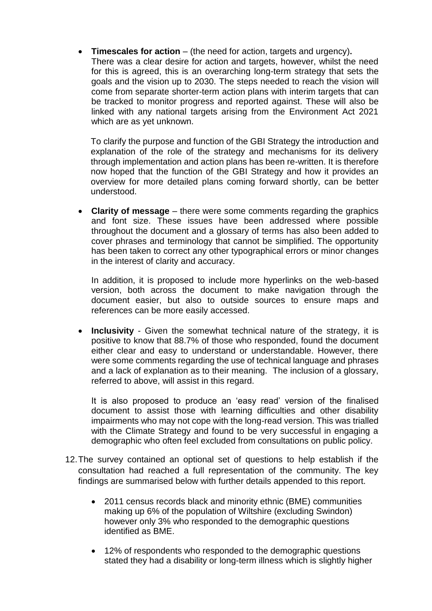**Timescales for action** – (the need for action, targets and urgency)**.**

There was a clear desire for action and targets, however, whilst the need for this is agreed, this is an overarching long-term strategy that sets the goals and the vision up to 2030. The steps needed to reach the vision will come from separate shorter-term action plans with interim targets that can be tracked to monitor progress and reported against. These will also be linked with any national targets arising from the Environment Act 2021 which are as yet unknown.

To clarify the purpose and function of the GBI Strategy the introduction and explanation of the role of the strategy and mechanisms for its delivery through implementation and action plans has been re-written. It is therefore now hoped that the function of the GBI Strategy and how it provides an overview for more detailed plans coming forward shortly, can be better understood.

 **Clarity of message** – there were some comments regarding the graphics and font size. These issues have been addressed where possible throughout the document and a glossary of terms has also been added to cover phrases and terminology that cannot be simplified. The opportunity has been taken to correct any other typographical errors or minor changes in the interest of clarity and accuracy.

In addition, it is proposed to include more hyperlinks on the web-based version, both across the document to make navigation through the document easier, but also to outside sources to ensure maps and references can be more easily accessed.

 **Inclusivity** - Given the somewhat technical nature of the strategy, it is positive to know that 88.7% of those who responded, found the document either clear and easy to understand or understandable. However, there were some comments regarding the use of technical language and phrases and a lack of explanation as to their meaning. The inclusion of a glossary, referred to above, will assist in this regard.

It is also proposed to produce an 'easy read' version of the finalised document to assist those with learning difficulties and other disability impairments who may not cope with the long-read version. This was trialled with the Climate Strategy and found to be very successful in engaging a demographic who often feel excluded from consultations on public policy.

- 12.The survey contained an optional set of questions to help establish if the consultation had reached a full representation of the community. The key findings are summarised below with further details appended to this report.
	- 2011 census records black and minority ethnic (BME) communities making up 6% of the population of Wiltshire (excluding Swindon) however only 3% who responded to the demographic questions identified as BME.
	- 12% of respondents who responded to the demographic questions stated they had a disability or long-term illness which is slightly higher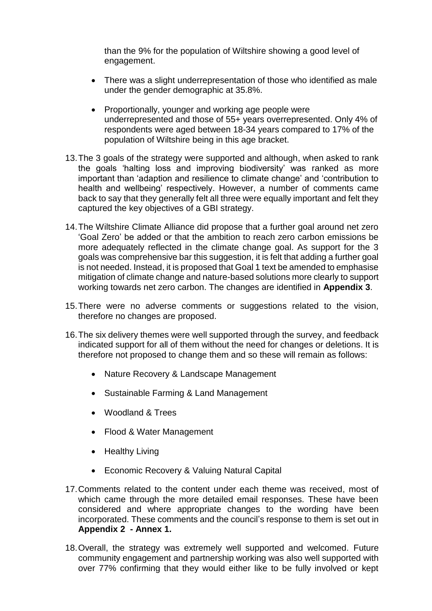than the 9% for the population of Wiltshire showing a good level of engagement.

- There was a slight underrepresentation of those who identified as male under the gender demographic at 35.8%.
- Proportionally, younger and working age people were underrepresented and those of 55+ years overrepresented. Only 4% of respondents were aged between 18-34 years compared to 17% of the population of Wiltshire being in this age bracket.
- 13.The 3 goals of the strategy were supported and although, when asked to rank the goals 'halting loss and improving biodiversity' was ranked as more important than 'adaption and resilience to climate change' and 'contribution to health and wellbeing' respectively. However, a number of comments came back to say that they generally felt all three were equally important and felt they captured the key objectives of a GBI strategy.
- 14.The Wiltshire Climate Alliance did propose that a further goal around net zero 'Goal Zero' be added or that the ambition to reach zero carbon emissions be more adequately reflected in the climate change goal. As support for the 3 goals was comprehensive bar this suggestion, it is felt that adding a further goal is not needed. Instead, it is proposed that Goal 1 text be amended to emphasise mitigation of climate change and nature-based solutions more clearly to support working towards net zero carbon. The changes are identified in **Appendix 3**.
- 15.There were no adverse comments or suggestions related to the vision, therefore no changes are proposed.
- 16.The six delivery themes were well supported through the survey, and feedback indicated support for all of them without the need for changes or deletions. It is therefore not proposed to change them and so these will remain as follows:
	- Nature Recovery & Landscape Management
	- Sustainable Farming & Land Management
	- Woodland & Trees
	- Flood & Water Management
	- Healthy Living
	- Economic Recovery & Valuing Natural Capital
- 17.Comments related to the content under each theme was received, most of which came through the more detailed email responses. These have been considered and where appropriate changes to the wording have been incorporated. These comments and the council's response to them is set out in **Appendix 2 - Annex 1.**
- 18.Overall, the strategy was extremely well supported and welcomed. Future community engagement and partnership working was also well supported with over 77% confirming that they would either like to be fully involved or kept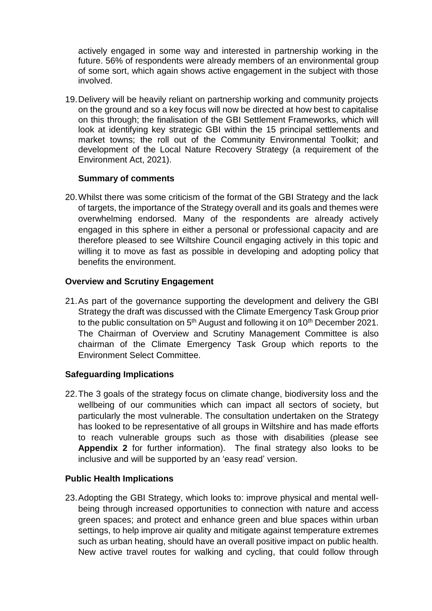actively engaged in some way and interested in partnership working in the future. 56% of respondents were already members of an environmental group of some sort, which again shows active engagement in the subject with those involved.

19.Delivery will be heavily reliant on partnership working and community projects on the ground and so a key focus will now be directed at how best to capitalise on this through; the finalisation of the GBI Settlement Frameworks, which will look at identifying key strategic GBI within the 15 principal settlements and market towns; the roll out of the Community Environmental Toolkit; and development of the Local Nature Recovery Strategy (a requirement of the Environment Act, 2021).

## **Summary of comments**

20.Whilst there was some criticism of the format of the GBI Strategy and the lack of targets, the importance of the Strategy overall and its goals and themes were overwhelming endorsed. Many of the respondents are already actively engaged in this sphere in either a personal or professional capacity and are therefore pleased to see Wiltshire Council engaging actively in this topic and willing it to move as fast as possible in developing and adopting policy that benefits the environment.

## **Overview and Scrutiny Engagement**

21.As part of the governance supporting the development and delivery the GBI Strategy the draft was discussed with the Climate Emergency Task Group prior to the public consultation on  $5<sup>th</sup>$  August and following it on  $10<sup>th</sup>$  December 2021. The Chairman of Overview and Scrutiny Management Committee is also chairman of the Climate Emergency Task Group which reports to the Environment Select Committee.

### **Safeguarding Implications**

22.The 3 goals of the strategy focus on climate change, biodiversity loss and the wellbeing of our communities which can impact all sectors of society, but particularly the most vulnerable. The consultation undertaken on the Strategy has looked to be representative of all groups in Wiltshire and has made efforts to reach vulnerable groups such as those with disabilities (please see **Appendix 2** for further information). The final strategy also looks to be inclusive and will be supported by an 'easy read' version.

### **Public Health Implications**

23.Adopting the GBI Strategy, which looks to: improve physical and mental wellbeing through increased opportunities to connection with nature and access green spaces; and protect and enhance green and blue spaces within urban settings, to help improve air quality and mitigate against temperature extremes such as urban heating, should have an overall positive impact on public health. New active travel routes for walking and cycling, that could follow through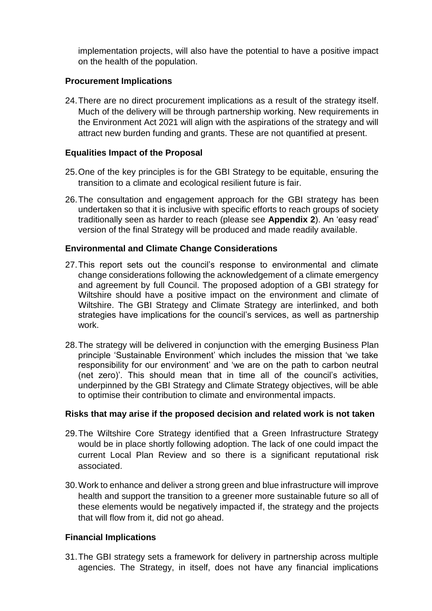implementation projects, will also have the potential to have a positive impact on the health of the population.

### **Procurement Implications**

24.There are no direct procurement implications as a result of the strategy itself. Much of the delivery will be through partnership working. New requirements in the Environment Act 2021 will align with the aspirations of the strategy and will attract new burden funding and grants. These are not quantified at present.

## **Equalities Impact of the Proposal**

- 25.One of the key principles is for the GBI Strategy to be equitable, ensuring the transition to a climate and ecological resilient future is fair.
- 26.The consultation and engagement approach for the GBI strategy has been undertaken so that it is inclusive with specific efforts to reach groups of society traditionally seen as harder to reach (please see **Appendix 2**). An 'easy read' version of the final Strategy will be produced and made readily available.

## **Environmental and Climate Change Considerations**

- 27.This report sets out the council's response to environmental and climate change considerations following the acknowledgement of a climate emergency and agreement by full Council. The proposed adoption of a GBI strategy for Wiltshire should have a positive impact on the environment and climate of Wiltshire. The GBI Strategy and Climate Strategy are interlinked, and both strategies have implications for the council's services, as well as partnership work.
- 28.The strategy will be delivered in conjunction with the emerging Business Plan principle 'Sustainable Environment' which includes the mission that 'we take responsibility for our environment' and 'we are on the path to carbon neutral (net zero)'. This should mean that in time all of the council's activities, underpinned by the GBI Strategy and Climate Strategy objectives, will be able to optimise their contribution to climate and environmental impacts.

# **Risks that may arise if the proposed decision and related work is not taken**

- 29.The Wiltshire Core Strategy identified that a Green Infrastructure Strategy would be in place shortly following adoption. The lack of one could impact the current Local Plan Review and so there is a significant reputational risk associated.
- 30.Work to enhance and deliver a strong green and blue infrastructure will improve health and support the transition to a greener more sustainable future so all of these elements would be negatively impacted if, the strategy and the projects that will flow from it, did not go ahead.

# **Financial Implications**

31.The GBI strategy sets a framework for delivery in partnership across multiple agencies. The Strategy, in itself, does not have any financial implications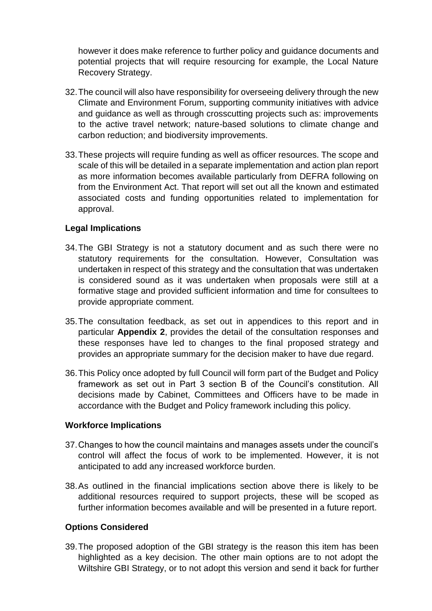however it does make reference to further policy and guidance documents and potential projects that will require resourcing for example, the Local Nature Recovery Strategy.

- 32.The council will also have responsibility for overseeing delivery through the new Climate and Environment Forum, supporting community initiatives with advice and guidance as well as through crosscutting projects such as: improvements to the active travel network; nature-based solutions to climate change and carbon reduction; and biodiversity improvements.
- 33.These projects will require funding as well as officer resources. The scope and scale of this will be detailed in a separate implementation and action plan report as more information becomes available particularly from DEFRA following on from the Environment Act. That report will set out all the known and estimated associated costs and funding opportunities related to implementation for approval.

### **Legal Implications**

- 34.The GBI Strategy is not a statutory document and as such there were no statutory requirements for the consultation. However, Consultation was undertaken in respect of this strategy and the consultation that was undertaken is considered sound as it was undertaken when proposals were still at a formative stage and provided sufficient information and time for consultees to provide appropriate comment.
- 35.The consultation feedback, as set out in appendices to this report and in particular **Appendix 2**, provides the detail of the consultation responses and these responses have led to changes to the final proposed strategy and provides an appropriate summary for the decision maker to have due regard.
- 36.This Policy once adopted by full Council will form part of the Budget and Policy framework as set out in Part 3 section B of the Council's constitution. All decisions made by Cabinet, Committees and Officers have to be made in accordance with the Budget and Policy framework including this policy.

### **Workforce Implications**

- 37.Changes to how the council maintains and manages assets under the council's control will affect the focus of work to be implemented. However, it is not anticipated to add any increased workforce burden.
- 38.As outlined in the financial implications section above there is likely to be additional resources required to support projects, these will be scoped as further information becomes available and will be presented in a future report.

### **Options Considered**

39.The proposed adoption of the GBI strategy is the reason this item has been highlighted as a key decision. The other main options are to not adopt the Wiltshire GBI Strategy, or to not adopt this version and send it back for further